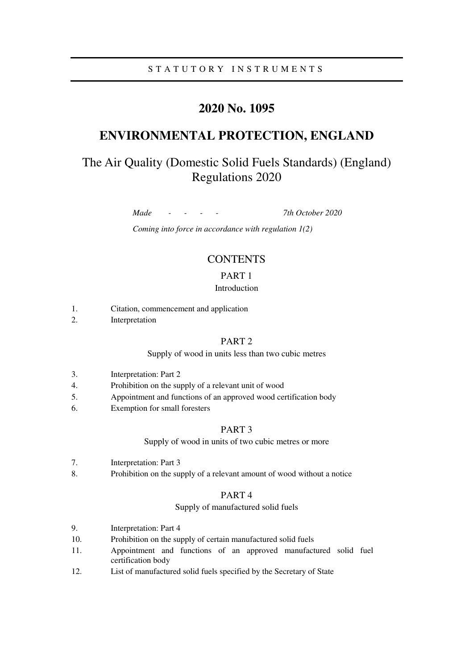### S T A T U T O R Y I N S T R U M E N T S

## **2020 No. 1095**

## **ENVIRONMENTAL PROTECTION, ENGLAND**

# The Air Quality (Domestic Solid Fuels Standards) (England) Regulations 2020

*Made - - - - 7th October 2020* 

*Coming into force in accordance with regulation 1(2)* 

### **CONTENTS**

#### PART 1

#### Introduction

- 1. Citation, commencement and application
- 2. Interpretation

#### PART 2

#### Supply of wood in units less than two cubic metres

- 3. Interpretation: Part 2
- 4. Prohibition on the supply of a relevant unit of wood
- 5. Appointment and functions of an approved wood certification body
- 6. Exemption for small foresters

#### PART 3

Supply of wood in units of two cubic metres or more

- 7. Interpretation: Part 3
- 8. Prohibition on the supply of a relevant amount of wood without a notice

#### PART 4

#### Supply of manufactured solid fuels

- 9. Interpretation: Part 4
- 10. Prohibition on the supply of certain manufactured solid fuels
- 11. Appointment and functions of an approved manufactured solid fuel certification body
- 12. List of manufactured solid fuels specified by the Secretary of State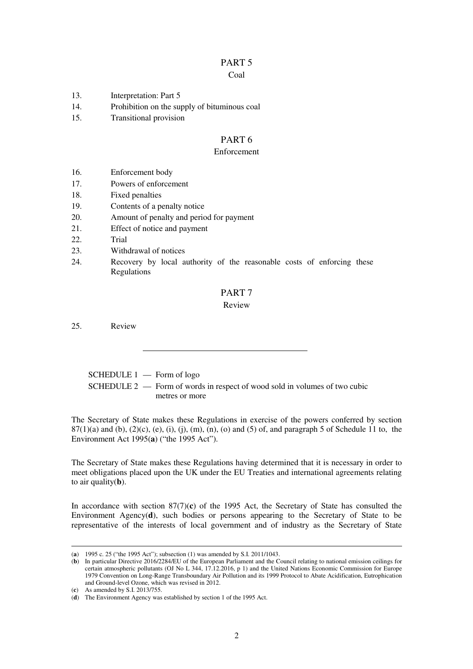# PART 5

### Coal

- 13. Interpretation: Part 5
- 14. Prohibition on the supply of bituminous coal
- 15. Transitional provision

### PART 6

#### Enforcement

- 16. Enforcement body
- 17. Powers of enforcement
- 18. Fixed penalties
- 19. Contents of a penalty notice
- 20. Amount of penalty and period for payment
- 21. Effect of notice and payment
- 22. Trial
- 23. Withdrawal of notices
- 24. Recovery by local authority of the reasonable costs of enforcing these Regulations

### PART 7

#### Review

25. Review

 SCHEDULE 1 — Form of logo SCHEDULE 2 — Form of words in respect of wood sold in volumes of two cubic metres or more

The Secretary of State makes these Regulations in exercise of the powers conferred by section  $87(1)(a)$  and (b),  $(2)(c)$ ,  $(e)$ ,  $(i)$ ,  $(i)$ ,  $(m)$ ,  $(n)$ ,  $(o)$  and  $(5)$  of, and paragraph 5 of Schedule 11 to, the Environment Act 1995(**a**) ("the 1995 Act").

The Secretary of State makes these Regulations having determined that it is necessary in order to meet obligations placed upon the UK under the EU Treaties and international agreements relating to air quality(**b**).

In accordance with section 87(7)(**c**) of the 1995 Act, the Secretary of State has consulted the Environment Agency(**d**), such bodies or persons appearing to the Secretary of State to be representative of the interests of local government and of industry as the Secretary of State

<sup>(</sup>**a**) 1995 c. 25 ("the 1995 Act"); subsection (1) was amended by S.I. 2011/1043.

<sup>(</sup>**b**) In particular Directive 2016/2284/EU of the European Parliament and the Council relating to national emission ceilings for certain atmospheric pollutants (OJ No L 344, 17.12.2016, p 1) and the United Nations Economic Commission for Europe 1979 Convention on Long-Range Transboundary Air Pollution and its 1999 Protocol to Abate Acidification, Eutrophication and Ground-level Ozone, which was revised in 2012.

<sup>(</sup>**c**) As amended by S.I. 2013/755.

<sup>(</sup>**d**) The Environment Agency was established by section 1 of the 1995 Act.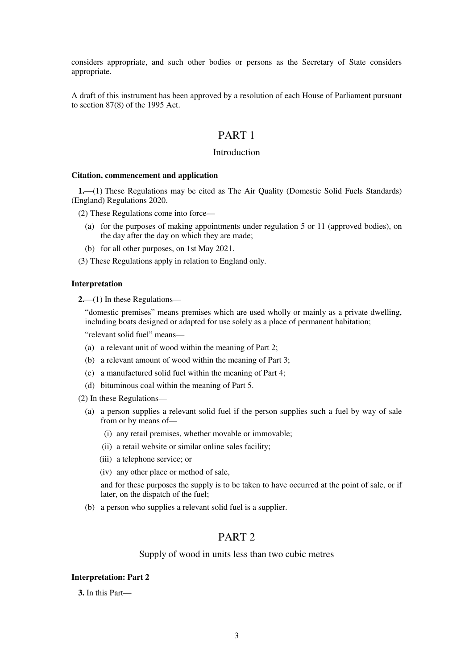considers appropriate, and such other bodies or persons as the Secretary of State considers appropriate.

A draft of this instrument has been approved by a resolution of each House of Parliament pursuant to section 87(8) of the 1995 Act.

### PART 1

### Introduction

#### **Citation, commencement and application**

**1.**—(1) These Regulations may be cited as The Air Quality (Domestic Solid Fuels Standards) (England) Regulations 2020.

(2) These Regulations come into force—

- (a) for the purposes of making appointments under regulation 5 or 11 (approved bodies), on the day after the day on which they are made;
- (b) for all other purposes, on 1st May 2021.

(3) These Regulations apply in relation to England only.

#### **Interpretation**

**2.**—(1) In these Regulations—

"domestic premises" means premises which are used wholly or mainly as a private dwelling, including boats designed or adapted for use solely as a place of permanent habitation;

"relevant solid fuel" means—

- (a) a relevant unit of wood within the meaning of Part 2;
- (b) a relevant amount of wood within the meaning of Part 3;
- (c) a manufactured solid fuel within the meaning of Part 4;
- (d) bituminous coal within the meaning of Part 5.
- (2) In these Regulations—
	- (a) a person supplies a relevant solid fuel if the person supplies such a fuel by way of sale from or by means of—
		- (i) any retail premises, whether movable or immovable;
		- (ii) a retail website or similar online sales facility;
		- (iii) a telephone service; or
		- (iv) any other place or method of sale,

and for these purposes the supply is to be taken to have occurred at the point of sale, or if later, on the dispatch of the fuel;

(b) a person who supplies a relevant solid fuel is a supplier.

### PART 2

#### Supply of wood in units less than two cubic metres

#### **Interpretation: Part 2**

**3.** In this Part—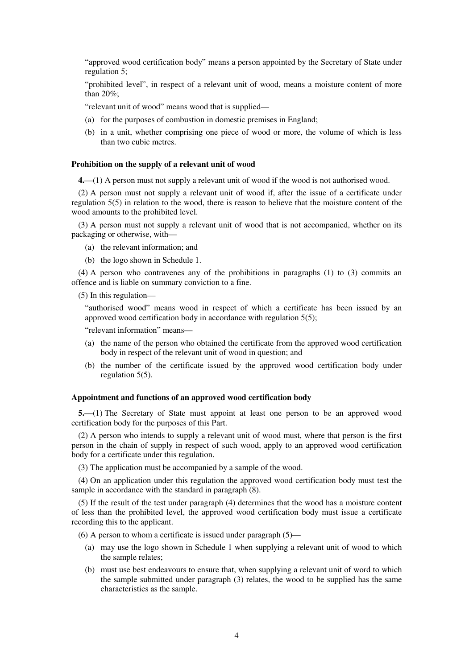"approved wood certification body" means a person appointed by the Secretary of State under regulation 5;

"prohibited level", in respect of a relevant unit of wood, means a moisture content of more than 20%;

"relevant unit of wood" means wood that is supplied—

- (a) for the purposes of combustion in domestic premises in England;
- (b) in a unit, whether comprising one piece of wood or more, the volume of which is less than two cubic metres.

#### **Prohibition on the supply of a relevant unit of wood**

**4.**—(1) A person must not supply a relevant unit of wood if the wood is not authorised wood.

(2) A person must not supply a relevant unit of wood if, after the issue of a certificate under regulation 5(5) in relation to the wood, there is reason to believe that the moisture content of the wood amounts to the prohibited level.

(3) A person must not supply a relevant unit of wood that is not accompanied, whether on its packaging or otherwise, with—

- (a) the relevant information; and
- (b) the logo shown in Schedule 1.

(4) A person who contravenes any of the prohibitions in paragraphs (1) to (3) commits an offence and is liable on summary conviction to a fine.

(5) In this regulation—

"authorised wood" means wood in respect of which a certificate has been issued by an approved wood certification body in accordance with regulation 5(5);

"relevant information" means—

- (a) the name of the person who obtained the certificate from the approved wood certification body in respect of the relevant unit of wood in question; and
- (b) the number of the certificate issued by the approved wood certification body under regulation 5(5).

#### **Appointment and functions of an approved wood certification body**

**5.**—(1) The Secretary of State must appoint at least one person to be an approved wood certification body for the purposes of this Part.

(2) A person who intends to supply a relevant unit of wood must, where that person is the first person in the chain of supply in respect of such wood, apply to an approved wood certification body for a certificate under this regulation.

(3) The application must be accompanied by a sample of the wood.

(4) On an application under this regulation the approved wood certification body must test the sample in accordance with the standard in paragraph (8).

(5) If the result of the test under paragraph (4) determines that the wood has a moisture content of less than the prohibited level, the approved wood certification body must issue a certificate recording this to the applicant.

(6) A person to whom a certificate is issued under paragraph  $(5)$ —

- (a) may use the logo shown in Schedule 1 when supplying a relevant unit of wood to which the sample relates;
- (b) must use best endeavours to ensure that, when supplying a relevant unit of word to which the sample submitted under paragraph (3) relates, the wood to be supplied has the same characteristics as the sample.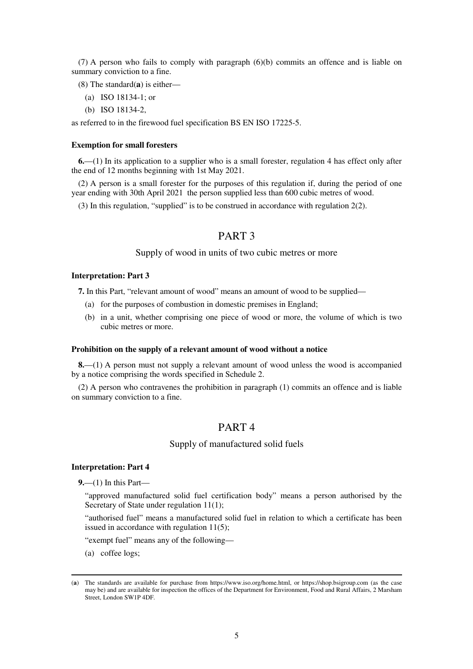(7) A person who fails to comply with paragraph (6)(b) commits an offence and is liable on summary conviction to a fine.

(8) The standard(**a**) is either—

- (a) ISO 18134-1; or
- (b) ISO 18134-2,

as referred to in the firewood fuel specification BS EN ISO 17225-5.

#### **Exemption for small foresters**

**6.**—(1) In its application to a supplier who is a small forester, regulation 4 has effect only after the end of 12 months beginning with 1st May 2021.

(2) A person is a small forester for the purposes of this regulation if, during the period of one year ending with 30th April 2021 the person supplied less than 600 cubic metres of wood.

(3) In this regulation, "supplied" is to be construed in accordance with regulation 2(2).

### PART 3

#### Supply of wood in units of two cubic metres or more

#### **Interpretation: Part 3**

**7.** In this Part, "relevant amount of wood" means an amount of wood to be supplied—

- (a) for the purposes of combustion in domestic premises in England;
- (b) in a unit, whether comprising one piece of wood or more, the volume of which is two cubic metres or more.

#### **Prohibition on the supply of a relevant amount of wood without a notice**

**8.**—(1) A person must not supply a relevant amount of wood unless the wood is accompanied by a notice comprising the words specified in Schedule 2.

(2) A person who contravenes the prohibition in paragraph (1) commits an offence and is liable on summary conviction to a fine.

### PART 4

#### Supply of manufactured solid fuels

#### **Interpretation: Part 4**

**9.**—(1) In this Part—

"approved manufactured solid fuel certification body" means a person authorised by the Secretary of State under regulation  $11(1)$ ;

"authorised fuel" means a manufactured solid fuel in relation to which a certificate has been issued in accordance with regulation 11(5);

"exempt fuel" means any of the following—

(a) coffee logs;

<sup>(</sup>**a**) The standards are available for purchase from https://www.iso.org/home.html, or https://shop.bsigroup.com (as the case may be) and are available for inspection the offices of the Department for Environment, Food and Rural Affairs, 2 Marsham Street, London SW1P 4DF.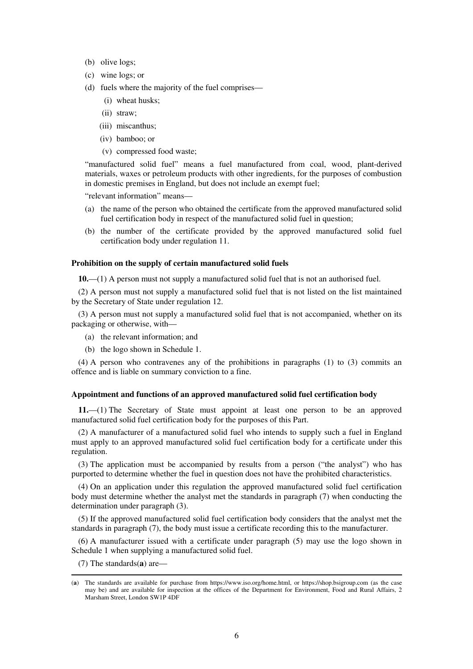- (b) olive logs;
- (c) wine logs; or
- (d) fuels where the majority of the fuel comprises—
	- (i) wheat husks;
	- (ii) straw;
	- (iii) miscanthus;
	- (iv) bamboo; or
	- (v) compressed food waste;

"manufactured solid fuel" means a fuel manufactured from coal, wood, plant-derived materials, waxes or petroleum products with other ingredients, for the purposes of combustion in domestic premises in England, but does not include an exempt fuel;

"relevant information" means—

- (a) the name of the person who obtained the certificate from the approved manufactured solid fuel certification body in respect of the manufactured solid fuel in question;
- (b) the number of the certificate provided by the approved manufactured solid fuel certification body under regulation 11.

#### **Prohibition on the supply of certain manufactured solid fuels**

**10.**—(1) A person must not supply a manufactured solid fuel that is not an authorised fuel.

(2) A person must not supply a manufactured solid fuel that is not listed on the list maintained by the Secretary of State under regulation 12.

(3) A person must not supply a manufactured solid fuel that is not accompanied, whether on its packaging or otherwise, with—

- (a) the relevant information; and
- (b) the logo shown in Schedule 1.

(4) A person who contravenes any of the prohibitions in paragraphs (1) to (3) commits an offence and is liable on summary conviction to a fine.

#### **Appointment and functions of an approved manufactured solid fuel certification body**

**11.**—(1) The Secretary of State must appoint at least one person to be an approved manufactured solid fuel certification body for the purposes of this Part.

(2) A manufacturer of a manufactured solid fuel who intends to supply such a fuel in England must apply to an approved manufactured solid fuel certification body for a certificate under this regulation.

(3) The application must be accompanied by results from a person ("the analyst") who has purported to determine whether the fuel in question does not have the prohibited characteristics.

(4) On an application under this regulation the approved manufactured solid fuel certification body must determine whether the analyst met the standards in paragraph (7) when conducting the determination under paragraph (3).

(5) If the approved manufactured solid fuel certification body considers that the analyst met the standards in paragraph (7), the body must issue a certificate recording this to the manufacturer.

(6) A manufacturer issued with a certificate under paragraph (5) may use the logo shown in Schedule 1 when supplying a manufactured solid fuel.

(7) The standards(**a**) are—

<sup>(</sup>**a**) The standards are available for purchase from https://www.iso.org/home.html, or https://shop.bsigroup.com (as the case may be) and are available for inspection at the offices of the Department for Environment, Food and Rural Affairs, 2 Marsham Street, London SW1P 4DF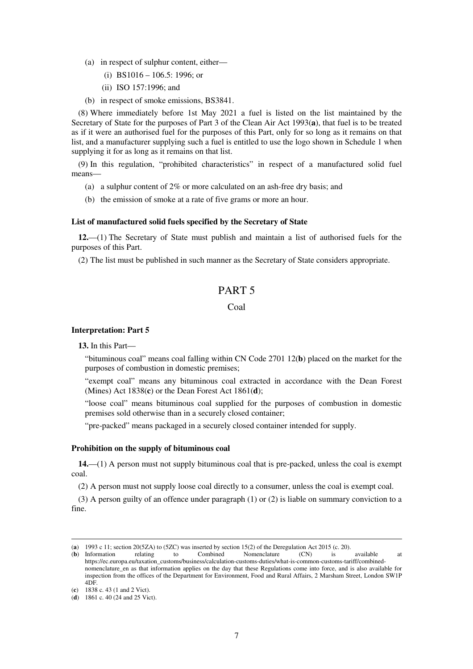- (a) in respect of sulphur content, either—
	- (i) BS1016 106.5: 1996; or
	- (ii) ISO 157:1996; and
- (b) in respect of smoke emissions, BS3841.

(8) Where immediately before 1st May 2021 a fuel is listed on the list maintained by the Secretary of State for the purposes of Part 3 of the Clean Air Act 1993(**a**), that fuel is to be treated as if it were an authorised fuel for the purposes of this Part, only for so long as it remains on that list, and a manufacturer supplying such a fuel is entitled to use the logo shown in Schedule 1 when supplying it for as long as it remains on that list.

(9) In this regulation, "prohibited characteristics" in respect of a manufactured solid fuel means—

- (a) a sulphur content of 2% or more calculated on an ash-free dry basis; and
- (b) the emission of smoke at a rate of five grams or more an hour.

#### **List of manufactured solid fuels specified by the Secretary of State**

**12.**—(1) The Secretary of State must publish and maintain a list of authorised fuels for the purposes of this Part.

(2) The list must be published in such manner as the Secretary of State considers appropriate.

### PART 5

#### Coal

#### **Interpretation: Part 5**

**13.** In this Part—

"bituminous coal" means coal falling within CN Code 2701 12(**b**) placed on the market for the purposes of combustion in domestic premises;

"exempt coal" means any bituminous coal extracted in accordance with the Dean Forest (Mines) Act 1838(**c**) or the Dean Forest Act 1861(**d**);

"loose coal" means bituminous coal supplied for the purposes of combustion in domestic premises sold otherwise than in a securely closed container;

"pre-packed" means packaged in a securely closed container intended for supply.

#### **Prohibition on the supply of bituminous coal**

**14.**—(1) A person must not supply bituminous coal that is pre-packed, unless the coal is exempt coal.

(2) A person must not supply loose coal directly to a consumer, unless the coal is exempt coal.

(3) A person guilty of an offence under paragraph (1) or (2) is liable on summary conviction to a fine.

<sup>(</sup>**a**) 1993 c 11; section 20(5ZA) to (5ZC) was inserted by section 15(2) of the Deregulation Act 2015 (c. 20).

<sup>(</sup>**b**) Information relating to Combined Nomenclature (CN) is available at https://ec.europa.eu/taxation\_customs/business/calculation-customs-duties/what-is-common-customs-tariff/combinednomenclature\_en as that information applies on the day that these Regulations come into force, and is also available for inspection from the offices of the Department for Environment, Food and Rural Affairs, 2 Marsham Street, London SW1P 4DF.

<sup>(</sup>**c**) 1838 c. 43 (1 and 2 Vict).

<sup>(</sup>**d**) 1861 c. 40 (24 and 25 Vict).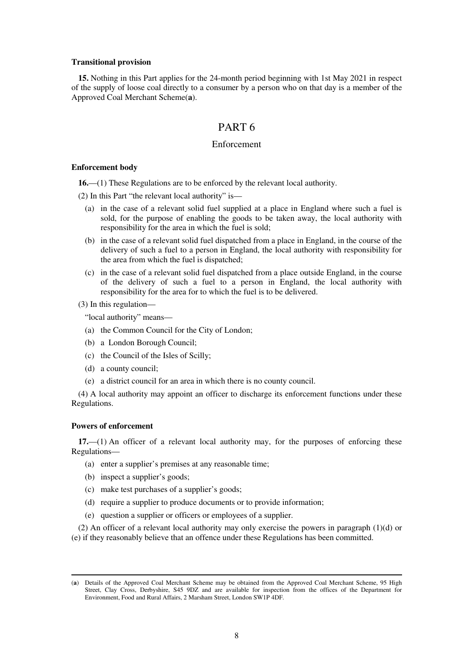#### **Transitional provision**

**15.** Nothing in this Part applies for the 24-month period beginning with 1st May 2021 in respect of the supply of loose coal directly to a consumer by a person who on that day is a member of the Approved Coal Merchant Scheme(**a**).

### PART 6

#### Enforcement

#### **Enforcement body**

**16.**—(1) These Regulations are to be enforced by the relevant local authority.

(2) In this Part "the relevant local authority" is—

- (a) in the case of a relevant solid fuel supplied at a place in England where such a fuel is sold, for the purpose of enabling the goods to be taken away, the local authority with responsibility for the area in which the fuel is sold;
- (b) in the case of a relevant solid fuel dispatched from a place in England, in the course of the delivery of such a fuel to a person in England, the local authority with responsibility for the area from which the fuel is dispatched;
- (c) in the case of a relevant solid fuel dispatched from a place outside England, in the course of the delivery of such a fuel to a person in England, the local authority with responsibility for the area for to which the fuel is to be delivered.
- (3) In this regulation—

"local authority" means—

- (a) the Common Council for the City of London;
- (b) a London Borough Council;
- (c) the Council of the Isles of Scilly;
- (d) a county council;
- (e) a district council for an area in which there is no county council.

(4) A local authority may appoint an officer to discharge its enforcement functions under these Regulations.

#### **Powers of enforcement**

-

**17.**—(1) An officer of a relevant local authority may, for the purposes of enforcing these Regulations—

- (a) enter a supplier's premises at any reasonable time;
- (b) inspect a supplier's goods;
- (c) make test purchases of a supplier's goods;
- (d) require a supplier to produce documents or to provide information;
- (e) question a supplier or officers or employees of a supplier.

(2) An officer of a relevant local authority may only exercise the powers in paragraph (1)(d) or (e) if they reasonably believe that an offence under these Regulations has been committed.

<sup>(</sup>**a**) Details of the Approved Coal Merchant Scheme may be obtained from the Approved Coal Merchant Scheme, 95 High Street, Clay Cross, Derbyshire, S45 9DZ and are available for inspection from the offices of the Department for Environment, Food and Rural Affairs, 2 Marsham Street, London SW1P 4DF.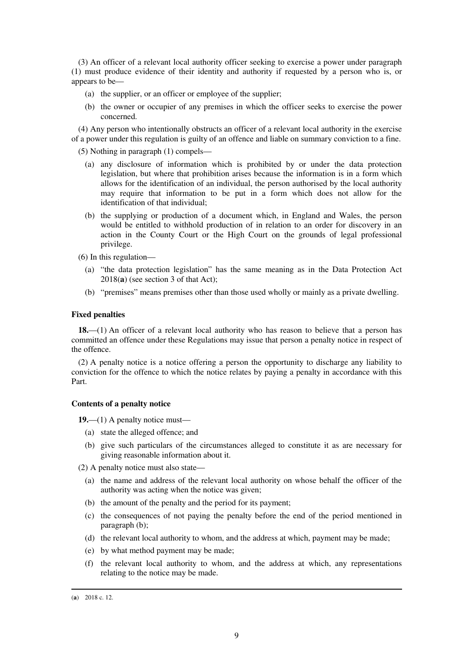(3) An officer of a relevant local authority officer seeking to exercise a power under paragraph (1) must produce evidence of their identity and authority if requested by a person who is, or appears to be—

- (a) the supplier, or an officer or employee of the supplier;
- (b) the owner or occupier of any premises in which the officer seeks to exercise the power concerned.

(4) Any person who intentionally obstructs an officer of a relevant local authority in the exercise of a power under this regulation is guilty of an offence and liable on summary conviction to a fine.

(5) Nothing in paragraph (1) compels—

- (a) any disclosure of information which is prohibited by or under the data protection legislation, but where that prohibition arises because the information is in a form which allows for the identification of an individual, the person authorised by the local authority may require that information to be put in a form which does not allow for the identification of that individual;
- (b) the supplying or production of a document which, in England and Wales, the person would be entitled to withhold production of in relation to an order for discovery in an action in the County Court or the High Court on the grounds of legal professional privilege.

(6) In this regulation—

- (a) "the data protection legislation" has the same meaning as in the Data Protection Act 2018(**a**) (see section 3 of that Act);
- (b) "premises" means premises other than those used wholly or mainly as a private dwelling.

#### **Fixed penalties**

**18.**—(1) An officer of a relevant local authority who has reason to believe that a person has committed an offence under these Regulations may issue that person a penalty notice in respect of the offence.

(2) A penalty notice is a notice offering a person the opportunity to discharge any liability to conviction for the offence to which the notice relates by paying a penalty in accordance with this Part.

#### **Contents of a penalty notice**

**19.**—(1) A penalty notice must—

- (a) state the alleged offence; and
- (b) give such particulars of the circumstances alleged to constitute it as are necessary for giving reasonable information about it.

(2) A penalty notice must also state—

- (a) the name and address of the relevant local authority on whose behalf the officer of the authority was acting when the notice was given;
- (b) the amount of the penalty and the period for its payment;
- (c) the consequences of not paying the penalty before the end of the period mentioned in paragraph (b);
- (d) the relevant local authority to whom, and the address at which, payment may be made;
- (e) by what method payment may be made;
- (f) the relevant local authority to whom, and the address at which, any representations relating to the notice may be made.

<sup>(</sup>**a**) 2018 c. 12.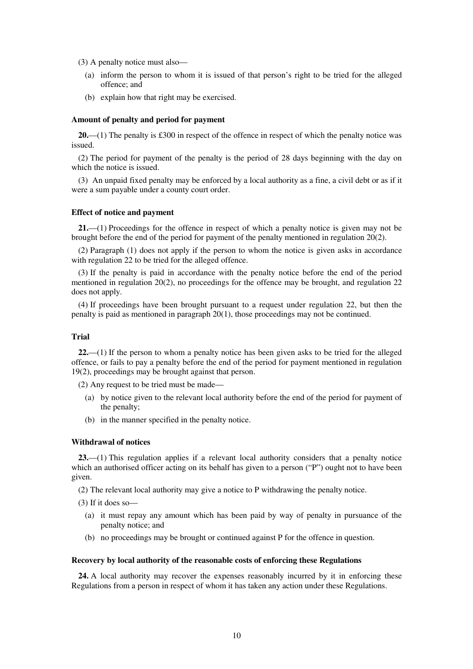(3) A penalty notice must also—

- (a) inform the person to whom it is issued of that person's right to be tried for the alleged offence; and
- (b) explain how that right may be exercised.

#### **Amount of penalty and period for payment**

**20.**—(1) The penalty is £300 in respect of the offence in respect of which the penalty notice was issued.

(2) The period for payment of the penalty is the period of 28 days beginning with the day on which the notice is issued.

(3) An unpaid fixed penalty may be enforced by a local authority as a fine, a civil debt or as if it were a sum payable under a county court order.

#### **Effect of notice and payment**

**21.**—(1) Proceedings for the offence in respect of which a penalty notice is given may not be brought before the end of the period for payment of the penalty mentioned in regulation 20(2).

(2) Paragraph (1) does not apply if the person to whom the notice is given asks in accordance with regulation 22 to be tried for the alleged offence.

(3) If the penalty is paid in accordance with the penalty notice before the end of the period mentioned in regulation 20(2), no proceedings for the offence may be brought, and regulation 22 does not apply.

(4) If proceedings have been brought pursuant to a request under regulation 22, but then the penalty is paid as mentioned in paragraph 20(1), those proceedings may not be continued.

#### **Trial**

**22.**—(1) If the person to whom a penalty notice has been given asks to be tried for the alleged offence, or fails to pay a penalty before the end of the period for payment mentioned in regulation 19(2), proceedings may be brought against that person.

(2) Any request to be tried must be made—

- (a) by notice given to the relevant local authority before the end of the period for payment of the penalty;
- (b) in the manner specified in the penalty notice.

#### **Withdrawal of notices**

**23.**—(1) This regulation applies if a relevant local authority considers that a penalty notice which an authorised officer acting on its behalf has given to a person ("P") ought not to have been given.

(2) The relevant local authority may give a notice to P withdrawing the penalty notice.

- (3) If it does so—
	- (a) it must repay any amount which has been paid by way of penalty in pursuance of the penalty notice; and
	- (b) no proceedings may be brought or continued against P for the offence in question.

#### **Recovery by local authority of the reasonable costs of enforcing these Regulations**

**24.** A local authority may recover the expenses reasonably incurred by it in enforcing these Regulations from a person in respect of whom it has taken any action under these Regulations.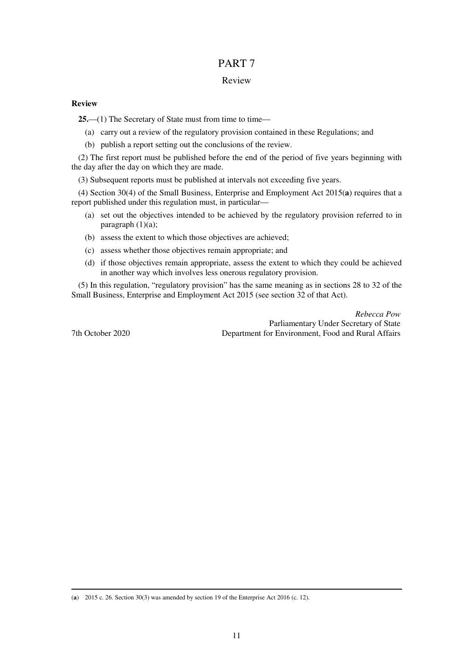### PART 7

#### Review

#### **Review**

25.—(1) The Secretary of State must from time to time—

- (a) carry out a review of the regulatory provision contained in these Regulations; and
- (b) publish a report setting out the conclusions of the review.

(2) The first report must be published before the end of the period of five years beginning with the day after the day on which they are made.

(3) Subsequent reports must be published at intervals not exceeding five years.

(4) Section 30(4) of the Small Business, Enterprise and Employment Act 2015(**a**) requires that a report published under this regulation must, in particular—

- (a) set out the objectives intended to be achieved by the regulatory provision referred to in paragraph  $(1)(a)$ ;
- (b) assess the extent to which those objectives are achieved;
- (c) assess whether those objectives remain appropriate; and
- (d) if those objectives remain appropriate, assess the extent to which they could be achieved in another way which involves less onerous regulatory provision.

(5) In this regulation, "regulatory provision" has the same meaning as in sections 28 to 32 of the Small Business, Enterprise and Employment Act 2015 (see section 32 of that Act).

*Rebecca Pow*  Parliamentary Under Secretary of State 7th October 2020 Department for Environment, Food and Rural Affairs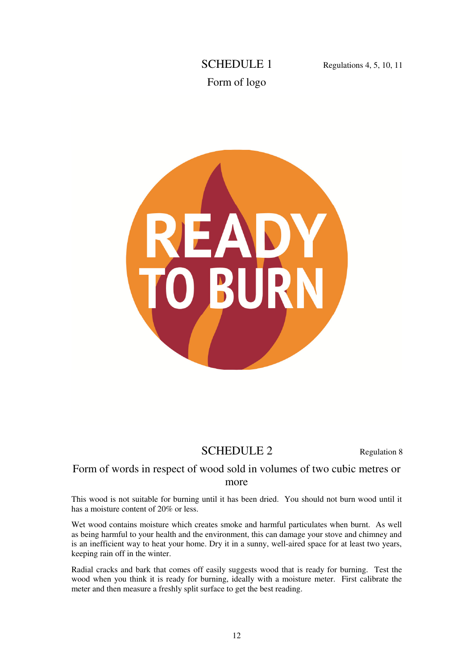# SCHEDULE 1 Regulations 4, 5, 10, 11 Form of logo



# SCHEDULE 2 Regulation 8

### Form of words in respect of wood sold in volumes of two cubic metres or more

This wood is not suitable for burning until it has been dried. You should not burn wood until it has a moisture content of 20% or less.

Wet wood contains moisture which creates smoke and harmful particulates when burnt. As well as being harmful to your health and the environment, this can damage your stove and chimney and is an inefficient way to heat your home. Dry it in a sunny, well-aired space for at least two years, keeping rain off in the winter.

Radial cracks and bark that comes off easily suggests wood that is ready for burning. Test the wood when you think it is ready for burning, ideally with a moisture meter. First calibrate the meter and then measure a freshly split surface to get the best reading.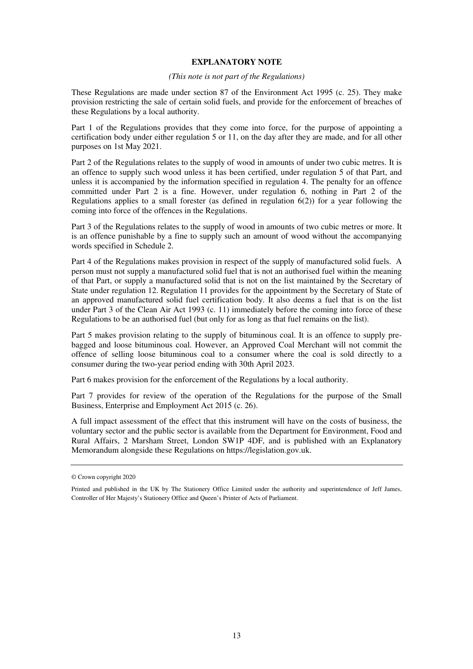#### **EXPLANATORY NOTE**

#### *(This note is not part of the Regulations)*

These Regulations are made under section 87 of the Environment Act 1995 (c. 25). They make provision restricting the sale of certain solid fuels, and provide for the enforcement of breaches of these Regulations by a local authority.

Part 1 of the Regulations provides that they come into force, for the purpose of appointing a certification body under either regulation 5 or 11, on the day after they are made, and for all other purposes on 1st May 2021.

Part 2 of the Regulations relates to the supply of wood in amounts of under two cubic metres. It is an offence to supply such wood unless it has been certified, under regulation 5 of that Part, and unless it is accompanied by the information specified in regulation 4. The penalty for an offence committed under Part 2 is a fine. However, under regulation 6, nothing in Part 2 of the Regulations applies to a small forester (as defined in regulation  $6(2)$ ) for a year following the coming into force of the offences in the Regulations.

Part 3 of the Regulations relates to the supply of wood in amounts of two cubic metres or more. It is an offence punishable by a fine to supply such an amount of wood without the accompanying words specified in Schedule 2.

Part 4 of the Regulations makes provision in respect of the supply of manufactured solid fuels. A person must not supply a manufactured solid fuel that is not an authorised fuel within the meaning of that Part, or supply a manufactured solid that is not on the list maintained by the Secretary of State under regulation 12. Regulation 11 provides for the appointment by the Secretary of State of an approved manufactured solid fuel certification body. It also deems a fuel that is on the list under Part 3 of the Clean Air Act 1993 (c. 11) immediately before the coming into force of these Regulations to be an authorised fuel (but only for as long as that fuel remains on the list).

Part 5 makes provision relating to the supply of bituminous coal. It is an offence to supply prebagged and loose bituminous coal. However, an Approved Coal Merchant will not commit the offence of selling loose bituminous coal to a consumer where the coal is sold directly to a consumer during the two-year period ending with 30th April 2023.

Part 6 makes provision for the enforcement of the Regulations by a local authority.

Part 7 provides for review of the operation of the Regulations for the purpose of the Small Business, Enterprise and Employment Act 2015 (c. 26).

A full impact assessment of the effect that this instrument will have on the costs of business, the voluntary sector and the public sector is available from the Department for Environment, Food and Rural Affairs, 2 Marsham Street, London SW1P 4DF, and is published with an Explanatory Memorandum alongside these Regulations on https://legislation.gov.uk.

<sup>©</sup> Crown copyright 2020

Printed and published in the UK by The Stationery Office Limited under the authority and superintendence of Jeff James, Controller of Her Majesty's Stationery Office and Queen's Printer of Acts of Parliament.